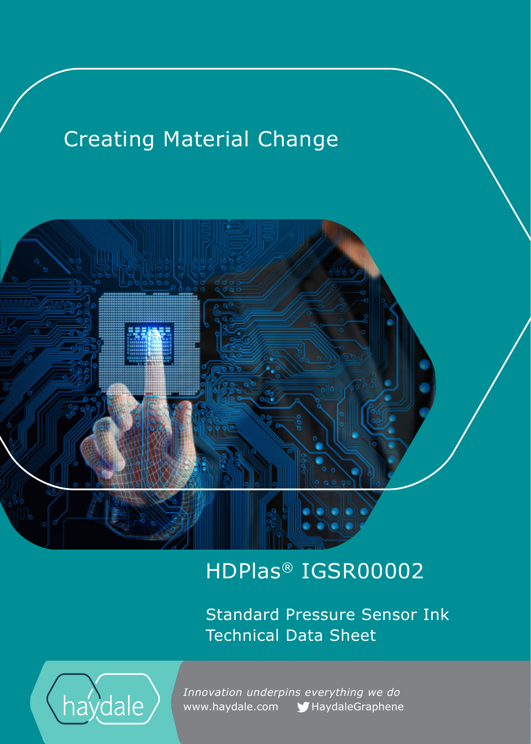# Creating Material Change



## HDPlas® IGSR00002

Standard Pressure Sensor Ink Technical Data Sheet



 *Innovation underpins everything we do*  www.haydale.com MaydaleGraphene